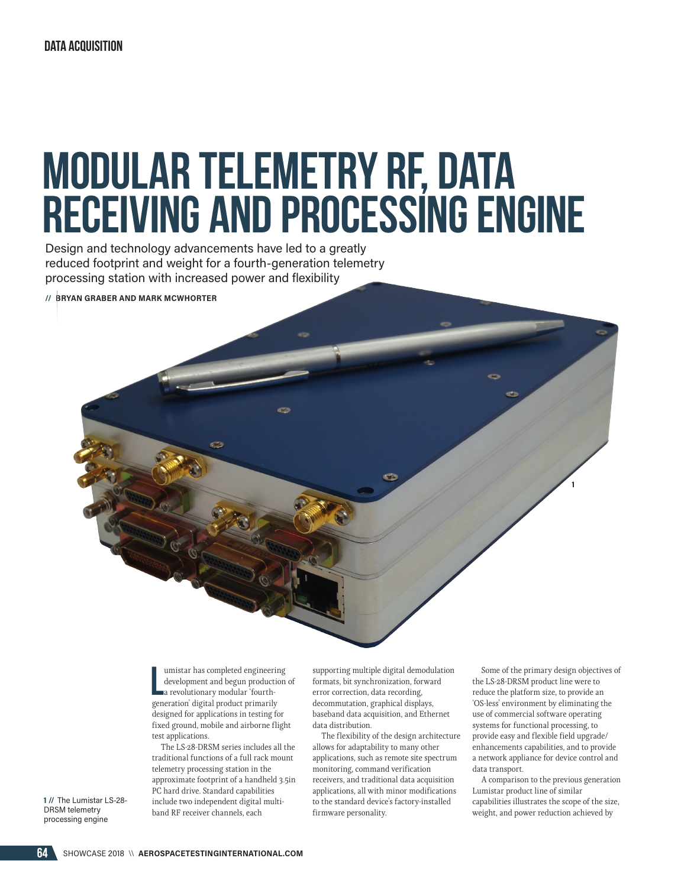# MODULAR TELEMETRY RF, DATA RECEIVING AND PROCESSING ENGINE

Design and technology advancements have led to a greatly reduced footprint and weight for a fourth-generation telemetry processing station with increased power and flexibility

**// BRYAN GRABER AND MARK MCWHORTER**

umistar has completed engineerir<br>development and begun productic<br>a revolutionary modular 'fourth-<br>generation' digital product primarily umistar has completed engineering development and begun production of a revolutionary modular 'fourthdesigned for applications in testing for fixed ground, mobile and airborne flight test applications.

The LS-28-DRSM series includes all the traditional functions of a full rack mount telemetry processing station in the approximate footprint of a handheld 3.5in PC hard drive. Standard capabilities include two independent digital multiband RF receiver channels, each

supporting multiple digital demodulation formats, bit synchronization, forward error correction, data recording, decommutation, graphical displays, baseband data acquisition, and Ethernet data distribution.

The flexibility of the design architecture allows for adaptability to many other applications, such as remote site spectrum monitoring, command verification receivers, and traditional data acquisition applications, all with minor modifications to the standard device's factory-installed firmware personality.

Some of the primary design objectives of the LS-28-DRSM product line were to reduce the platform size, to provide an 'OS-less' environment by eliminating the use of commercial software operating systems for functional processing, to provide easy and flexible field upgrade/ enhancements capabilities, and to provide a network appliance for device control and data transport.

**1**

A comparison to the previous generation Lumistar product line of similar capabilities illustrates the scope of the size, weight, and power reduction achieved by

**1 //** The Lumistar LS-28- DRSM telemetry processing engine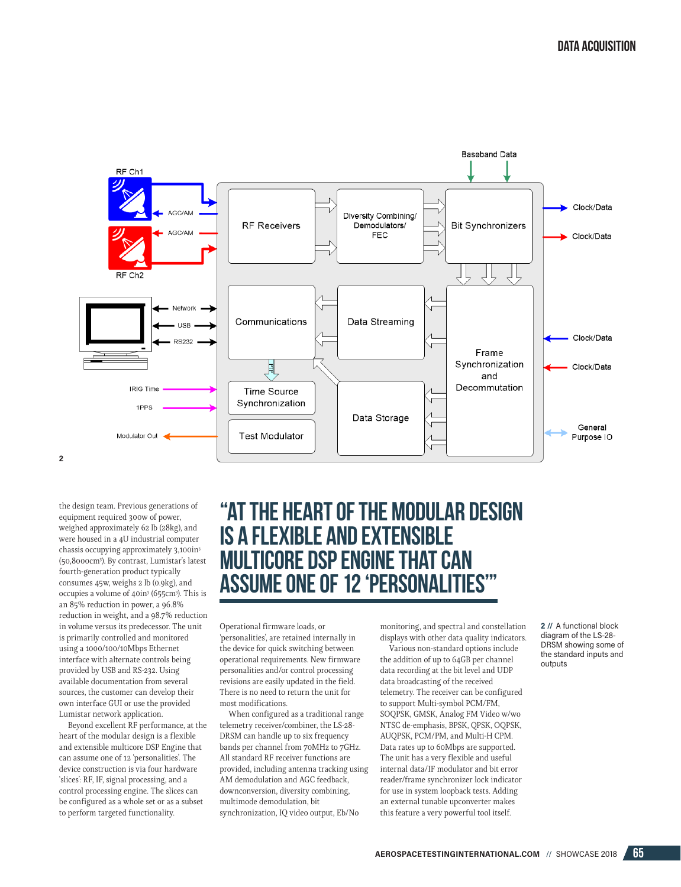

the design team. Previous generations of equipment required 300w of power, weighed approximately 62 lb (28kg), and were housed in a 4U industrial computer chassis occupying approximately 3,100in3 (50,8000cm3 ). By contrast, Lumistar's latest fourth-generation product typically consumes 45w, weighs 2 lb (0.9kg), and occupies a volume of 40in<sup>3</sup> (655cm<sup>3</sup>). This is an 85% reduction in power, a 96.8% reduction in weight, and a 98.7% reduction in volume versus its predecessor. The unit is primarily controlled and monitored using a 1000/100/10Mbps Ethernet interface with alternate controls being provided by USB and RS-232. Using available documentation from several sources, the customer can develop their own interface GUI or use the provided Lumistar network application.

Beyond excellent RF performance, at the heart of the modular design is a flexible and extensible multicore DSP Engine that can assume one of 12 'personalities'. The device construction is via four hardware 'slices': RF, IF, signal processing, and a control processing engine. The slices can be configured as a whole set or as a subset to perform targeted functionality.

# "at the heart of the modular design is a flexible and extensible multicore DSP Engine that can assume one of 12 'personalities'"

Operational firmware loads, or 'personalities', are retained internally in the device for quick switching between operational requirements. New firmware personalities and/or control processing revisions are easily updated in the field. There is no need to return the unit for most modifications.

When configured as a traditional range telemetry receiver/combiner, the LS-28- DRSM can handle up to six frequency bands per channel from 70MHz to 7GHz. All standard RF receiver functions are provided, including antenna tracking using AM demodulation and AGC feedback, downconversion, diversity combining, multimode demodulation, bit synchronization, IQ video output, Eb/No

monitoring, and spectral and constellation displays with other data quality indicators.

Various non-standard options include the addition of up to 64GB per channel data recording at the bit level and UDP data broadcasting of the received telemetry. The receiver can be configured to support Multi-symbol PCM/FM, SOQPSK, GMSK, Analog FM Video w/wo NTSC de-emphasis, BPSK, QPSK, OQPSK, AUQPSK, PCM/PM, and Multi-H CPM. Data rates up to 60Mbps are supported. The unit has a very flexible and useful internal data/IF modulator and bit error reader/frame synchronizer lock indicator for use in system loopback tests. Adding an external tunable upconverter makes this feature a very powerful tool itself.

**2 //** A functional block diagram of the LS-28- DRSM showing some of the standard inputs and outputs